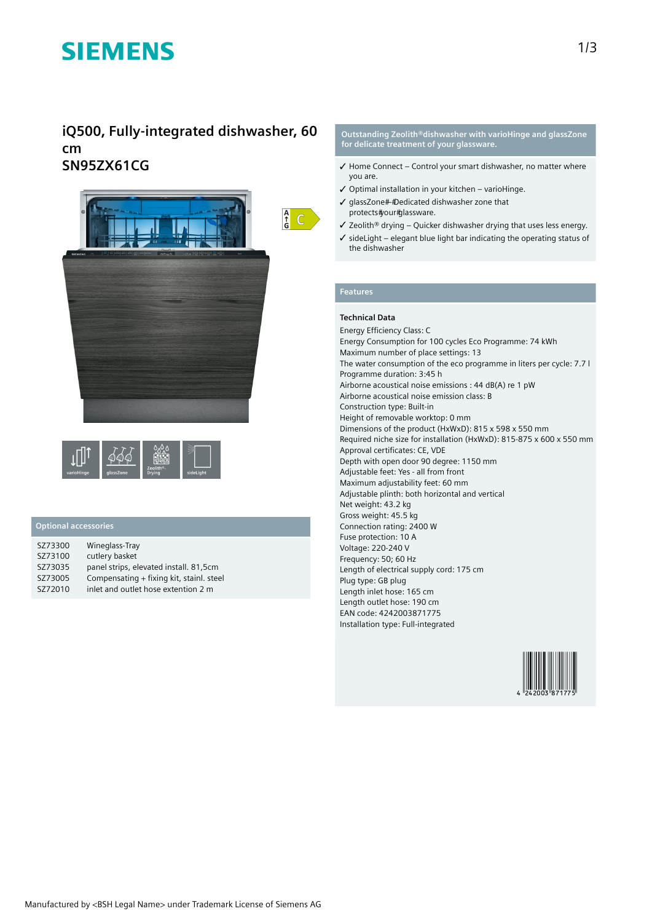# **SIEMENS**

## **iQ500, Fully-integrated dishwasher, 60 cm SN95ZX61CG**





## **Optional accessories**

| SZ73300 | Wineglass-Tray                           |
|---------|------------------------------------------|
| SZ73100 | cutlery basket                           |
| SZ73035 | panel strips, elevated install. 81,5cm   |
| SZ73005 | Compensating + fixing kit, stainl. steel |
| SZ72010 | inlet and outlet hose extention 2 m      |

#### **Outstanding Zeolith®dishwasher with varioHinge and glassZone for delicate treatment of your glassware.**

- $\checkmark$  Home Connect Control your smart dishwasher, no matter where you are.
- ✓ Optimal installation in your kitchen varioHinge.
- ✓ glassZone Dedicated dishwasher zone that protects#your#glassware.
- ✓ Zeolith® drying Quicker dishwasher drying that uses less energy.
- ✓ sideLight elegant blue light bar indicating the operating status of the dishwasher

#### **Features**

### **Technical Data**

Energy Efficiency Class: C Energy Consumption for 100 cycles Eco Programme: 74 kWh Maximum number of place settings: 13 The water consumption of the eco programme in liters per cycle: 7.7 l Programme duration: 3:45 h Airborne acoustical noise emissions : 44 dB(A) re 1 pW Airborne acoustical noise emission class: B Construction type: Built-in Height of removable worktop: 0 mm Dimensions of the product (HxWxD): 815 x 598 x 550 mm Required niche size for installation (HxWxD): 815-875 x 600 x 550 mm Approval certificates: CE, VDE Depth with open door 90 degree: 1150 mm Adjustable feet: Yes - all from front Maximum adjustability feet: 60 mm Adjustable plinth: both horizontal and vertical Net weight: 43.2 kg Gross weight: 45.5 kg Connection rating: 2400 W Fuse protection: 10 A Voltage: 220-240 V Frequency: 50; 60 Hz Length of electrical supply cord: 175 cm Plug type: GB plug Length inlet hose: 165 cm Length outlet hose: 190 cm EAN code: 4242003871775 Installation type: Full-integrated

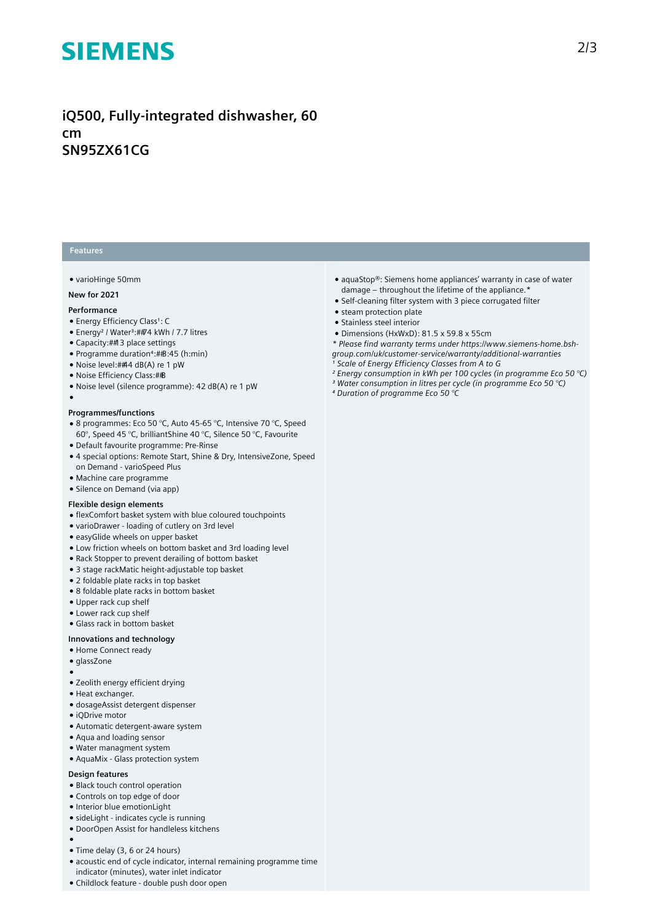# **SIEMENS**

## **iQ500, Fully-integrated dishwasher, 60 cm SN95ZX61CG**

### **Features**

#### ● varioHinge 50mm

#### **New for 2021**

#### **Performance**

- Energy Efficiency Class<sup>1</sup>: C
- Energy<sup>2</sup> / Water<sup>3</sup>:##74 kWh / 7.7 litres
- Capacity: ## 3 place settings
- Programme duration<sup>4</sup>: #B:45 (h:min)
- Noise level: ##4 dB(A) re 1 pW
- Noise Efficiency Class: ##B
- Noise level (silence programme): 42 dB(A) re 1 pW
- ●

#### **Programmes/functions**

- 8 programmes: Eco 50 °C, Auto 45-65 °C, Intensive 70 °C, Speed 60°, Speed 45 °C, brilliantShine 40 °C, Silence 50 °C, Favourite
- Default favourite programme: Pre-Rinse
- 4 special options: Remote Start, Shine & Dry, IntensiveZone, Speed on Demand - varioSpeed Plus
- Machine care programme
- Silence on Demand (via app)

#### **Flexible design elements**

- flexComfort basket system with blue coloured touchpoints
- varioDrawer loading of cutlery on 3rd level
- easyGlide wheels on upper basket
- Low friction wheels on bottom basket and 3rd loading level
- Rack Stopper to prevent derailing of bottom basket
- 3 stage rackMatic height-adjustable top basket
- 2 foldable plate racks in top basket
- 8 foldable plate racks in bottom basket
- Upper rack cup shelf
- Lower rack cup shelf
- Glass rack in bottom basket

#### **Innovations and technology**

- Home Connect ready
- glassZone
- ●
- Zeolith energy efficient drying
- Heat exchanger.
- dosageAssist detergent dispenser
- iQDrive motor
- Automatic detergent-aware system
- Aqua and loading sensor
- Water managment system
- AquaMix Glass protection system

### **Design features**

- Black touch control operation
- Controls on top edge of door
- Interior blue emotionLight
- sideLight indicates cycle is running
- DoorOpen Assist for handleless kitchens
- ●
- Time delay (3, 6 or 24 hours)
- acoustic end of cycle indicator, internal remaining programme time indicator (minutes), water inlet indicator
- Childlock feature double push door open
- aquaStop®: Siemens home appliances' warranty in case of water damage – throughout the lifetime of the appliance.\*
- Self-cleaning filter system with 3 piece corrugated filter
- steam protection plate
- Stainless steel interior
- Dimensions (HxWxD): 81.5 x 59.8 x 55cm

*\* Please find warranty terms under https://www.siemens-home.bshgroup.com/uk/customer-service/warranty/additional-warranties*

- *¹ Scale of Energy Efficiency Classes from A to G*
- *² Energy consumption in kWh per 100 cycles (in programme Eco 50 °C) ³ Water consumption in litres per cycle (in programme Eco 50 °C)*
- *⁴ Duration of programme Eco 50 °C*